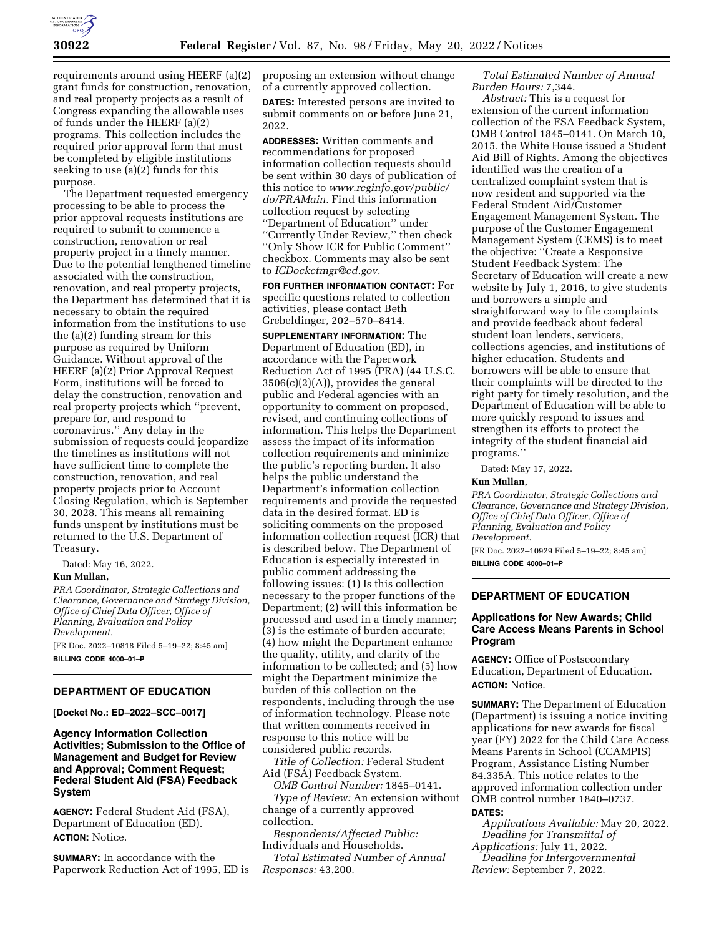

requirements around using HEERF (a)(2) grant funds for construction, renovation, and real property projects as a result of Congress expanding the allowable uses of funds under the HEERF (a)(2) programs. This collection includes the required prior approval form that must be completed by eligible institutions seeking to use (a)(2) funds for this purpose.

The Department requested emergency processing to be able to process the prior approval requests institutions are required to submit to commence a construction, renovation or real property project in a timely manner. Due to the potential lengthened timeline associated with the construction, renovation, and real property projects, the Department has determined that it is necessary to obtain the required information from the institutions to use the (a)(2) funding stream for this purpose as required by Uniform Guidance. Without approval of the HEERF (a)(2) Prior Approval Request Form, institutions will be forced to delay the construction, renovation and real property projects which ''prevent, prepare for, and respond to coronavirus.'' Any delay in the submission of requests could jeopardize the timelines as institutions will not have sufficient time to complete the construction, renovation, and real property projects prior to Account Closing Regulation, which is September 30, 2028. This means all remaining funds unspent by institutions must be returned to the U.S. Department of Treasury.

Dated: May 16, 2022.

#### **Kun Mullan,**

*PRA Coordinator, Strategic Collections and Clearance, Governance and Strategy Division, Office of Chief Data Officer, Office of Planning, Evaluation and Policy Development.* 

[FR Doc. 2022–10818 Filed 5–19–22; 8:45 am] **BILLING CODE 4000–01–P** 

#### **DEPARTMENT OF EDUCATION**

**[Docket No.: ED–2022–SCC–0017]** 

**Agency Information Collection Activities; Submission to the Office of Management and Budget for Review and Approval; Comment Request; Federal Student Aid (FSA) Feedback System** 

**AGENCY:** Federal Student Aid (FSA), Department of Education (ED). **ACTION:** Notice.

**SUMMARY:** In accordance with the Paperwork Reduction Act of 1995, ED is proposing an extension without change of a currently approved collection. **DATES:** Interested persons are invited to submit comments on or before June 21, 2022.

**ADDRESSES:** Written comments and recommendations for proposed information collection requests should be sent within 30 days of publication of this notice to *[www.reginfo.gov/public/](http://www.reginfo.gov/public/do/PRAMain) [do/PRAMain.](http://www.reginfo.gov/public/do/PRAMain)* Find this information collection request by selecting ''Department of Education'' under ''Currently Under Review,'' then check ''Only Show ICR for Public Comment'' checkbox. Comments may also be sent to *[ICDocketmgr@ed.gov.](mailto:ICDocketmgr@ed.gov)* 

**FOR FURTHER INFORMATION CONTACT:** For specific questions related to collection activities, please contact Beth Grebeldinger, 202–570–8414.

**SUPPLEMENTARY INFORMATION:** The Department of Education (ED), in accordance with the Paperwork Reduction Act of 1995 (PRA) (44 U.S.C.  $3506(c)(2)(A)$ , provides the general public and Federal agencies with an opportunity to comment on proposed, revised, and continuing collections of information. This helps the Department assess the impact of its information collection requirements and minimize the public's reporting burden. It also helps the public understand the Department's information collection requirements and provide the requested data in the desired format. ED is soliciting comments on the proposed information collection request (ICR) that is described below. The Department of Education is especially interested in public comment addressing the following issues: (1) Is this collection necessary to the proper functions of the Department; (2) will this information be processed and used in a timely manner; (3) is the estimate of burden accurate; (4) how might the Department enhance the quality, utility, and clarity of the information to be collected; and (5) how might the Department minimize the burden of this collection on the respondents, including through the use of information technology. Please note that written comments received in response to this notice will be considered public records.

*Title of Collection:* Federal Student Aid (FSA) Feedback System.

*OMB Control Number:* 1845–0141.

*Type of Review:* An extension without change of a currently approved collection.

*Respondents/Affected Public:*  Individuals and Households.

*Total Estimated Number of Annual Responses:* 43,200.

*Total Estimated Number of Annual Burden Hours:* 7,344.

*Abstract:* This is a request for extension of the current information collection of the FSA Feedback System, OMB Control 1845–0141. On March 10, 2015, the White House issued a Student Aid Bill of Rights. Among the objectives identified was the creation of a centralized complaint system that is now resident and supported via the Federal Student Aid/Customer Engagement Management System. The purpose of the Customer Engagement Management System (CEMS) is to meet the objective: ''Create a Responsive Student Feedback System: The Secretary of Education will create a new website by July 1, 2016, to give students and borrowers a simple and straightforward way to file complaints and provide feedback about federal student loan lenders, servicers, collections agencies, and institutions of higher education. Students and borrowers will be able to ensure that their complaints will be directed to the right party for timely resolution, and the Department of Education will be able to more quickly respond to issues and strengthen its efforts to protect the integrity of the student financial aid programs.''

Dated: May 17, 2022.

# **Kun Mullan,**

*PRA Coordinator, Strategic Collections and Clearance, Governance and Strategy Division, Office of Chief Data Officer, Office of Planning, Evaluation and Policy Development.*  [FR Doc. 2022–10929 Filed 5–19–22; 8:45 am] **BILLING CODE 4000–01–P** 

# **DEPARTMENT OF EDUCATION**

# **Applications for New Awards; Child Care Access Means Parents in School Program**

**AGENCY:** Office of Postsecondary Education, Department of Education. **ACTION:** Notice.

**SUMMARY:** The Department of Education (Department) is issuing a notice inviting applications for new awards for fiscal year (FY) 2022 for the Child Care Access Means Parents in School (CCAMPIS) Program, Assistance Listing Number 84.335A. This notice relates to the approved information collection under OMB control number 1840–0737.

#### **DATES:**

*Applications Available:* May 20, 2022. *Deadline for Transmittal of Applications:* July 11, 2022.

*Deadline for Intergovernmental Review:* September 7, 2022.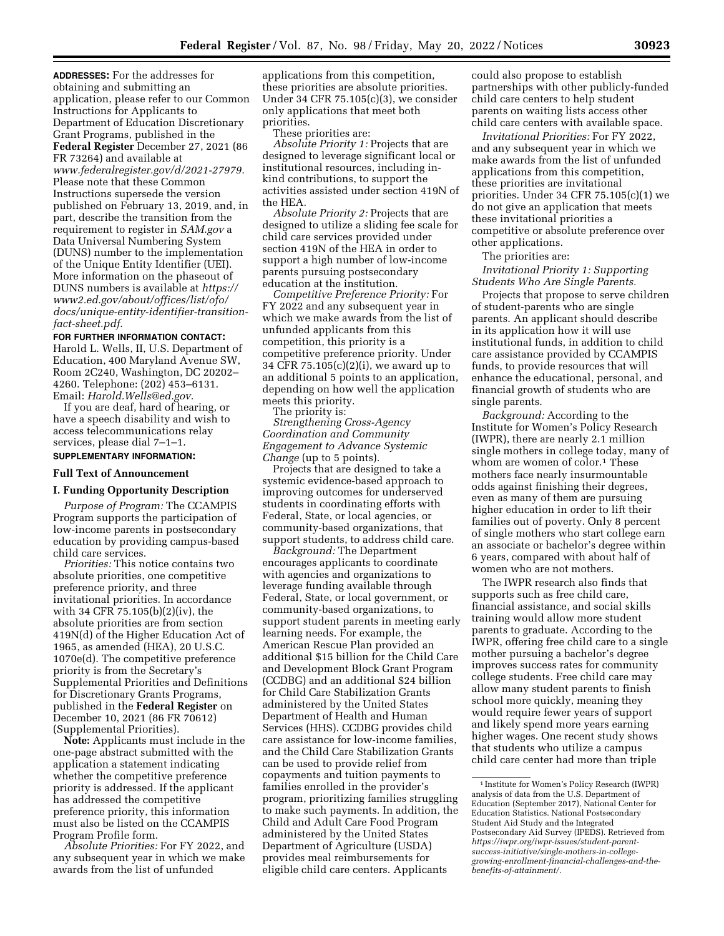**ADDRESSES:** For the addresses for obtaining and submitting an application, please refer to our Common Instructions for Applicants to Department of Education Discretionary Grant Programs, published in the **Federal Register** December 27, 2021 (86 FR 73264) and available at *[www.federalregister.gov/d/2021-27979.](http://www.federalregister.gov/d/2021-27979)*  Please note that these Common Instructions supersede the version published on February 13, 2019, and, in part, describe the transition from the requirement to register in *SAM.gov* a Data Universal Numbering System (DUNS) number to the implementation of the Unique Entity Identifier (UEI). More information on the phaseout of DUNS numbers is available at *[https://](https://www2.ed.gov/about/offices/list/ofo/docs/unique-entity-identifier-transition-fact-sheet.pdf) [www2.ed.gov/about/offices/list/ofo/](https://www2.ed.gov/about/offices/list/ofo/docs/unique-entity-identifier-transition-fact-sheet.pdf) [docs/unique-entity-identifier-transition](https://www2.ed.gov/about/offices/list/ofo/docs/unique-entity-identifier-transition-fact-sheet.pdf)[fact-sheet.pdf.](https://www2.ed.gov/about/offices/list/ofo/docs/unique-entity-identifier-transition-fact-sheet.pdf)* 

## **FOR FURTHER INFORMATION CONTACT:**

Harold L. Wells, II, U.S. Department of Education, 400 Maryland Avenue SW, Room 2C240, Washington, DC 20202– 4260. Telephone: (202) 453–6131. Email: *[Harold.Wells@ed.gov.](mailto:Harold.Wells@ed.gov)* 

If you are deaf, hard of hearing, or have a speech disability and wish to access telecommunications relay services, please dial 7–1–1.

# **SUPPLEMENTARY INFORMATION:**

## **Full Text of Announcement**

#### **I. Funding Opportunity Description**

*Purpose of Program:* The CCAMPIS Program supports the participation of low-income parents in postsecondary education by providing campus-based child care services.

*Priorities:* This notice contains two absolute priorities, one competitive preference priority, and three invitational priorities. In accordance with 34 CFR 75.105(b)(2)(iv), the absolute priorities are from section 419N(d) of the Higher Education Act of 1965, as amended (HEA), 20 U.S.C. 1070e(d). The competitive preference priority is from the Secretary's Supplemental Priorities and Definitions for Discretionary Grants Programs, published in the **Federal Register** on December 10, 2021 (86 FR 70612) (Supplemental Priorities).

**Note:** Applicants must include in the one-page abstract submitted with the application a statement indicating whether the competitive preference priority is addressed. If the applicant has addressed the competitive preference priority, this information must also be listed on the CCAMPIS Program Profile form.

*Absolute Priorities:* For FY 2022, and any subsequent year in which we make awards from the list of unfunded

applications from this competition, these priorities are absolute priorities. Under 34 CFR  $75.105(c)(3)$ , we consider only applications that meet both priorities.

These priorities are:

*Absolute Priority 1:* Projects that are designed to leverage significant local or institutional resources, including inkind contributions, to support the activities assisted under section 419N of the HEA.

*Absolute Priority 2:* Projects that are designed to utilize a sliding fee scale for child care services provided under section 419N of the HEA in order to support a high number of low-income parents pursuing postsecondary education at the institution.

*Competitive Preference Priority:* For FY 2022 and any subsequent year in which we make awards from the list of unfunded applicants from this competition, this priority is a competitive preference priority. Under 34 CFR 75.105(c)(2)(i), we award up to an additional 5 points to an application, depending on how well the application meets this priority.

The priority is:

*Strengthening Cross-Agency Coordination and Community Engagement to Advance Systemic Change* (up to 5 points).

Projects that are designed to take a systemic evidence-based approach to improving outcomes for underserved students in coordinating efforts with Federal, State, or local agencies, or community-based organizations, that support students, to address child care.

*Background:* The Department encourages applicants to coordinate with agencies and organizations to leverage funding available through Federal, State, or local government, or community-based organizations, to support student parents in meeting early learning needs. For example, the American Rescue Plan provided an additional \$15 billion for the Child Care and Development Block Grant Program (CCDBG) and an additional \$24 billion for Child Care Stabilization Grants administered by the United States Department of Health and Human Services (HHS). CCDBG provides child care assistance for low-income families, and the Child Care Stabilization Grants can be used to provide relief from copayments and tuition payments to families enrolled in the provider's program, prioritizing families struggling to make such payments. In addition, the Child and Adult Care Food Program administered by the United States Department of Agriculture (USDA) provides meal reimbursements for eligible child care centers. Applicants

could also propose to establish partnerships with other publicly-funded child care centers to help student parents on waiting lists access other child care centers with available space.

*Invitational Priorities:* For FY 2022, and any subsequent year in which we make awards from the list of unfunded applications from this competition, these priorities are invitational priorities. Under 34 CFR 75.105(c)(1) we do not give an application that meets these invitational priorities a competitive or absolute preference over other applications.

The priorities are:

*Invitational Priority 1: Supporting Students Who Are Single Parents.* 

Projects that propose to serve children of student-parents who are single parents. An applicant should describe in its application how it will use institutional funds, in addition to child care assistance provided by CCAMPIS funds, to provide resources that will enhance the educational, personal, and financial growth of students who are single parents.

*Background:* According to the Institute for Women's Policy Research (IWPR), there are nearly 2.1 million single mothers in college today, many of whom are women of color.<sup>1</sup> These mothers face nearly insurmountable odds against finishing their degrees, even as many of them are pursuing higher education in order to lift their families out of poverty. Only 8 percent of single mothers who start college earn an associate or bachelor's degree within 6 years, compared with about half of women who are not mothers.

The IWPR research also finds that supports such as free child care, financial assistance, and social skills training would allow more student parents to graduate. According to the IWPR, offering free child care to a single mother pursuing a bachelor's degree improves success rates for community college students. Free child care may allow many student parents to finish school more quickly, meaning they would require fewer years of support and likely spend more years earning higher wages. One recent study shows that students who utilize a campus child care center had more than triple

<sup>1</sup> Institute for Women's Policy Research (IWPR) analysis of data from the U.S. Department of Education (September 2017), National Center for Education Statistics. National Postsecondary Student Aid Study and the Integrated Postsecondary Aid Survey (IPEDS). Retrieved from *https://iwpr.org/iwpr-issues/student-parentsuccess-initiative/single-mothers-in-college[growing-enrollment-financial-challenges-and-the](https://iwpr.org/iwpr-issues/student-parent-success-initiative/single-mothers-in-college-growing-enrollment-financial-challenges-and-the-benefits-of-attainment/)[benefits-of-attainment/.](https://iwpr.org/iwpr-issues/student-parent-success-initiative/single-mothers-in-college-growing-enrollment-financial-challenges-and-the-benefits-of-attainment/)*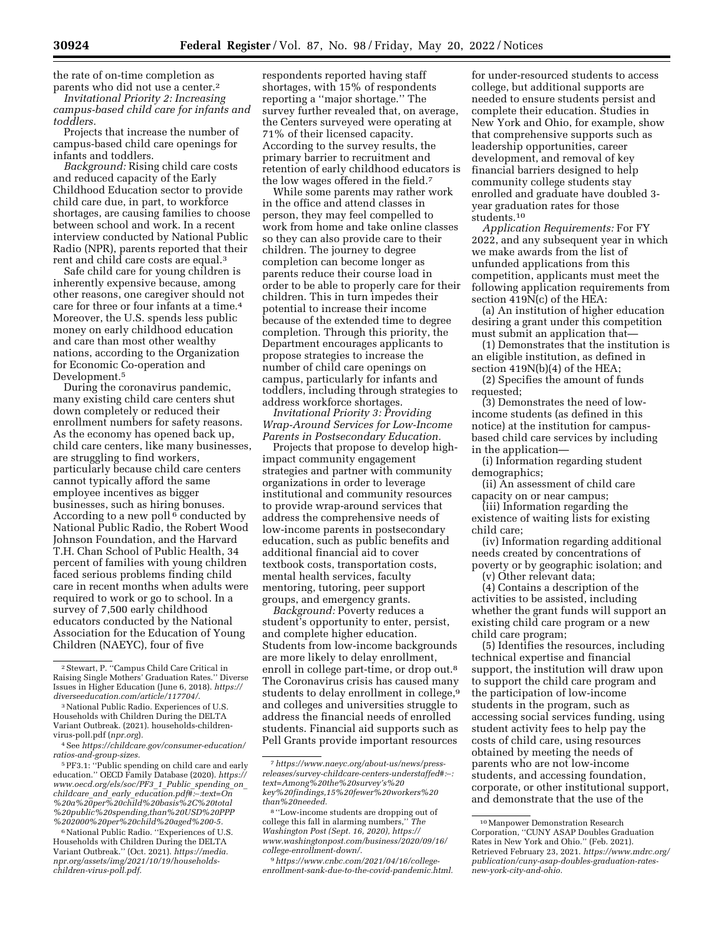the rate of on-time completion as parents who did not use a center.2

*Invitational Priority 2: Increasing campus-based child care for infants and toddlers.* 

Projects that increase the number of campus-based child care openings for infants and toddlers.

*Background:* Rising child care costs and reduced capacity of the Early Childhood Education sector to provide child care due, in part, to workforce shortages, are causing families to choose between school and work. In a recent interview conducted by National Public Radio (NPR), parents reported that their rent and child care costs are equal.3

Safe child care for young children is inherently expensive because, among other reasons, one caregiver should not care for three or four infants at a time.4 Moreover, the U.S. spends less public money on early childhood education and care than most other wealthy nations, according to the Organization for Economic Co-operation and Development.<sup>5</sup>

During the coronavirus pandemic, many existing child care centers shut down completely or reduced their enrollment numbers for safety reasons. As the economy has opened back up, child care centers, like many businesses, are struggling to find workers, particularly because child care centers cannot typically afford the same employee incentives as bigger businesses, such as hiring bonuses. According to a new poll<sup>6</sup> conducted by National Public Radio, the Robert Wood Johnson Foundation, and the Harvard T.H. Chan School of Public Health, 34 percent of families with young children faced serious problems finding child care in recent months when adults were required to work or go to school. In a survey of 7,500 early childhood educators conducted by the National Association for the Education of Young Children (NAEYC), four of five

5PF3.1: ''Public spending on child care and early education.'' OECD Family Database (2020). *[https://](https://www.oecd.org/els/soc/PF3_1_Public_spending_on_childcare_and_early_education.pdf#:%E2%88%BC:text=On%20a%20per%20child%20basis%2C%20total%20public%20spending,than%20USD%20PPP%202000%20per%20child%20aged%200-5)  www.oecd.org/els/soc/PF3*\_*1*\_*Public*\_*spending*\_*on*\_ *childcare*\_*and*\_*early*\_*education.pdf#:*∼*:text=On %20a%20per%20child%20basis%2C%20total [%20public%20spending,than%20USD%20PPP](https://www.oecd.org/els/soc/PF3_1_Public_spending_on_childcare_and_early_education.pdf#:%E2%88%BC:text=On%20a%20per%20child%20basis%2C%20total%20public%20spending,than%20USD%20PPP%202000%20per%20child%20aged%200-5) %202000%20per%20child%20aged%200-5.* 

<sup>6</sup> National Public Radio. "Experiences of U.S. Households with Children During the DELTA Variant Outbreak.'' (Oct. 2021). *[https://media.](https://media.npr.org/assets/img/2021/10/19/households-children-virus-poll.pdf) [npr.org/assets/img/2021/10/19/households](https://media.npr.org/assets/img/2021/10/19/households-children-virus-poll.pdf)[children-virus-poll.pdf.](https://media.npr.org/assets/img/2021/10/19/households-children-virus-poll.pdf)* 

respondents reported having staff shortages, with 15% of respondents reporting a ''major shortage.'' The survey further revealed that, on average, the Centers surveyed were operating at 71% of their licensed capacity. According to the survey results, the primary barrier to recruitment and retention of early childhood educators is the low wages offered in the field.7

While some parents may rather work in the office and attend classes in person, they may feel compelled to work from home and take online classes so they can also provide care to their children. The journey to degree completion can become longer as parents reduce their course load in order to be able to properly care for their children. This in turn impedes their potential to increase their income because of the extended time to degree completion. Through this priority, the Department encourages applicants to propose strategies to increase the number of child care openings on campus, particularly for infants and toddlers, including through strategies to address workforce shortages.

*Invitational Priority 3: Providing Wrap-Around Services for Low-Income Parents in Postsecondary Education.* 

Projects that propose to develop highimpact community engagement strategies and partner with community organizations in order to leverage institutional and community resources to provide wrap-around services that address the comprehensive needs of low-income parents in postsecondary education, such as public benefits and additional financial aid to cover textbook costs, transportation costs, mental health services, faculty mentoring, tutoring, peer support groups, and emergency grants.

*Background:* Poverty reduces a student's opportunity to enter, persist, and complete higher education. Students from low-income backgrounds are more likely to delay enrollment, enroll in college part-time, or drop out.<sup>8</sup> The Coronavirus crisis has caused many students to delay enrollment in college,<sup>9</sup> and colleges and universities struggle to address the financial needs of enrolled students. Financial aid supports such as Pell Grants provide important resources

for under-resourced students to access college, but additional supports are needed to ensure students persist and complete their education. Studies in New York and Ohio, for example, show that comprehensive supports such as leadership opportunities, career development, and removal of key financial barriers designed to help community college students stay enrolled and graduate have doubled 3 year graduation rates for those students.10

*Application Requirements:* For FY 2022, and any subsequent year in which we make awards from the list of unfunded applications from this competition, applicants must meet the following application requirements from section  $\overline{419N(c)}$  of the HEA:

(a) An institution of higher education desiring a grant under this competition must submit an application that—

(1) Demonstrates that the institution is an eligible institution, as defined in section 419N(b)(4) of the HEA;

(2) Specifies the amount of funds requested;

(3) Demonstrates the need of lowincome students (as defined in this notice) at the institution for campusbased child care services by including in the application—

(i) Information regarding student demographics;

(ii) An assessment of child care capacity on or near campus;

(iii) Information regarding the existence of waiting lists for existing child care;

(iv) Information regarding additional needs created by concentrations of poverty or by geographic isolation; and

(v) Other relevant data;

(4) Contains a description of the activities to be assisted, including whether the grant funds will support an existing child care program or a new child care program;

(5) Identifies the resources, including technical expertise and financial support, the institution will draw upon to support the child care program and the participation of low-income students in the program, such as accessing social services funding, using student activity fees to help pay the costs of child care, using resources obtained by meeting the needs of parents who are not low-income students, and accessing foundation, corporate, or other institutional support, and demonstrate that the use of the

<sup>2</sup>Stewart, P. ''Campus Child Care Critical in Raising Single Mothers' Graduation Rates.'' Diverse Issues in Higher Education (June 6, 2018). *[https://](https://diverseeducation.com/article/117704/) [diverseeducation.com/article/117704/.](https://diverseeducation.com/article/117704/)* 

<sup>3</sup>National Public Radio. Experiences of U.S. Households with Children During the DELTA Variant Outbreak. (2021). households-childrenvirus-poll.pdf (*npr.org*)*.* 

<sup>4</sup>See *[https://childcare.gov/consumer-education/](https://childcare.gov/consumer-education/ratios-and-group-sizes)  [ratios-and-group-sizes.](https://childcare.gov/consumer-education/ratios-and-group-sizes)* 

<sup>7</sup>*[https://www.naeyc.org/about-us/news/press](https://www.naeyc.org/about-us/news/press-releases/survey-childcare-centers-understaffed#:%E2%88%BC:%20text=Among%20the%20survey%E2%80%99s%20key%20findings,15%20fewer%20workers%20than%20needed)[releases/survey-childcare-centers-understaffed#:](https://www.naeyc.org/about-us/news/press-releases/survey-childcare-centers-understaffed#:%E2%88%BC:%20text=Among%20the%20survey%E2%80%99s%20key%20findings,15%20fewer%20workers%20than%20needed)*∼*: text=Among%20the%20survey's%20 key%20findings,15%20fewer%20workers%20 [than%20needed.](https://www.naeyc.org/about-us/news/press-releases/survey-childcare-centers-understaffed#:%E2%88%BC:%20text=Among%20the%20survey%E2%80%99s%20key%20findings,15%20fewer%20workers%20than%20needed)* 

<sup>8</sup> ''Low-income students are dropping out of college this fall in alarming numbers,'' *The Washington Post (Sept. 16, 2020), [https://](https://www.washingtonpost.com/business/2020/09/16/college-enrollment-down/)  [www.washingtonpost.com/business/2020/09/16/](https://www.washingtonpost.com/business/2020/09/16/college-enrollment-down/) [college-enrollment-down/.](https://www.washingtonpost.com/business/2020/09/16/college-enrollment-down/)* 

<sup>9</sup>*[https://www.cnbc.com/2021/04/16/college](https://www.cnbc.com/2021/04/16/college-enrollment-sank-due-to-the-covid-pandemic.html)[enrollment-sank-due-to-the-covid-pandemic.html.](https://www.cnbc.com/2021/04/16/college-enrollment-sank-due-to-the-covid-pandemic.html)* 

<sup>10</sup>Manpower Demonstration Research Corporation, ''CUNY ASAP Doubles Graduation Rates in New York and Ohio.'' (Feb. 2021). Retrieved February 23, 2021. *[https://www.mdrc.org/](https://www.mdrc.org/publication/cuny-asap-doubles-graduation-rates-new-york-city-and-ohio)  [publication/cuny-asap-doubles-graduation-rates](https://www.mdrc.org/publication/cuny-asap-doubles-graduation-rates-new-york-city-and-ohio)[new-york-city-and-ohio.](https://www.mdrc.org/publication/cuny-asap-doubles-graduation-rates-new-york-city-and-ohio)*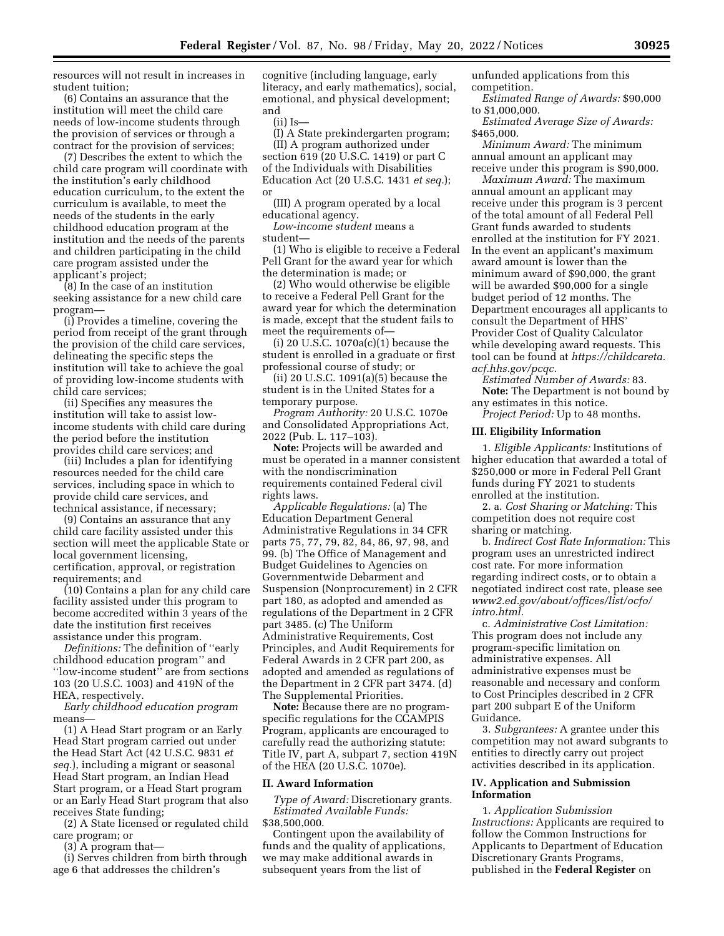resources will not result in increases in student tuition;

(6) Contains an assurance that the institution will meet the child care needs of low-income students through the provision of services or through a contract for the provision of services;

(7) Describes the extent to which the child care program will coordinate with the institution's early childhood education curriculum, to the extent the curriculum is available, to meet the needs of the students in the early childhood education program at the institution and the needs of the parents and children participating in the child care program assisted under the applicant's project;

(8) In the case of an institution seeking assistance for a new child care program—

(i) Provides a timeline, covering the period from receipt of the grant through the provision of the child care services, delineating the specific steps the institution will take to achieve the goal of providing low-income students with child care services;

(ii) Specifies any measures the institution will take to assist lowincome students with child care during the period before the institution provides child care services; and

(iii) Includes a plan for identifying resources needed for the child care services, including space in which to provide child care services, and technical assistance, if necessary;

(9) Contains an assurance that any child care facility assisted under this section will meet the applicable State or local government licensing, certification, approval, or registration requirements; and

(10) Contains a plan for any child care facility assisted under this program to become accredited within 3 years of the date the institution first receives assistance under this program.

*Definitions:* The definition of ''early childhood education program'' and ''low-income student'' are from sections 103 (20 U.S.C. 1003) and 419N of the HEA, respectively.

*Early childhood education program*  means—

(1) A Head Start program or an Early Head Start program carried out under the Head Start Act (42 U.S.C. 9831 *et seq.*), including a migrant or seasonal Head Start program, an Indian Head Start program, or a Head Start program or an Early Head Start program that also receives State funding;

(2) A State licensed or regulated child care program; or

(3) A program that—

(i) Serves children from birth through age 6 that addresses the children's

cognitive (including language, early literacy, and early mathematics), social, emotional, and physical development; and

(ii) Is—

(I) A State prekindergarten program; (II) A program authorized under section 619 (20 U.S.C. 1419) or part C of the Individuals with Disabilities Education Act (20 U.S.C. 1431 *et seq.*); or

(III) A program operated by a local educational agency.

*Low-income student* means a student—

(1) Who is eligible to receive a Federal Pell Grant for the award year for which the determination is made; or

(2) Who would otherwise be eligible to receive a Federal Pell Grant for the award year for which the determination is made, except that the student fails to meet the requirements of—

(i) 20 U.S.C. 1070a(c)(1) because the student is enrolled in a graduate or first professional course of study; or

(ii) 20 U.S.C. 1091(a)(5) because the student is in the United States for a temporary purpose.

*Program Authority:* 20 U.S.C. 1070e and Consolidated Appropriations Act, 2022 (Pub. L. 117–103).

**Note:** Projects will be awarded and must be operated in a manner consistent with the nondiscrimination requirements contained Federal civil rights laws.

*Applicable Regulations:* (a) The Education Department General Administrative Regulations in 34 CFR parts 75, 77, 79, 82, 84, 86, 97, 98, and 99. (b) The Office of Management and Budget Guidelines to Agencies on Governmentwide Debarment and Suspension (Nonprocurement) in 2 CFR part 180, as adopted and amended as regulations of the Department in 2 CFR part 3485. (c) The Uniform Administrative Requirements, Cost Principles, and Audit Requirements for Federal Awards in 2 CFR part 200, as adopted and amended as regulations of the Department in 2 CFR part 3474. (d) The Supplemental Priorities.

**Note:** Because there are no programspecific regulations for the CCAMPIS Program, applicants are encouraged to carefully read the authorizing statute: Title IV, part A, subpart 7, section 419N of the HEA (20 U.S.C. 1070e).

# **II. Award Information**

*Type of Award:* Discretionary grants. *Estimated Available Funds:*  \$38,500,000.

Contingent upon the availability of funds and the quality of applications, we may make additional awards in subsequent years from the list of

unfunded applications from this competition.

*Estimated Range of Awards:* \$90,000 to \$1,000,000.

*Estimated Average Size of Awards:*  \$465,000.

*Minimum Award:* The minimum annual amount an applicant may receive under this program is \$90,000.

*Maximum Award:* The maximum annual amount an applicant may receive under this program is 3 percent of the total amount of all Federal Pell Grant funds awarded to students enrolled at the institution for FY 2021. In the event an applicant's maximum award amount is lower than the minimum award of \$90,000, the grant will be awarded \$90,000 for a single budget period of 12 months. The Department encourages all applicants to consult the Department of HHS' Provider Cost of Quality Calculator while developing award requests. This tool can be found at *[https://childcareta.](https://childcareta.acf.hhs.gov/pcqc) [acf.hhs.gov/pcqc.](https://childcareta.acf.hhs.gov/pcqc)* 

*Estimated Number of Awards:* 83. **Note:** The Department is not bound by any estimates in this notice.

*Project Period:* Up to 48 months.

#### **III. Eligibility Information**

1. *Eligible Applicants:* Institutions of higher education that awarded a total of \$250,000 or more in Federal Pell Grant funds during FY 2021 to students enrolled at the institution.

2. a. *Cost Sharing or Matching:* This competition does not require cost sharing or matching.

b. *Indirect Cost Rate Information:* This program uses an unrestricted indirect cost rate. For more information regarding indirect costs, or to obtain a negotiated indirect cost rate, please see *[www2.ed.gov/about/offices/list/ocfo/](http://www2.ed.gov/about/offices/list/ocfo/intro.html)  [intro.html.](http://www2.ed.gov/about/offices/list/ocfo/intro.html)* 

c. *Administrative Cost Limitation:*  This program does not include any program-specific limitation on administrative expenses. All administrative expenses must be reasonable and necessary and conform to Cost Principles described in 2 CFR part 200 subpart E of the Uniform Guidance.

3. *Subgrantees:* A grantee under this competition may not award subgrants to entities to directly carry out project activities described in its application.

#### **IV. Application and Submission Information**

1. *Application Submission Instructions:* Applicants are required to follow the Common Instructions for Applicants to Department of Education Discretionary Grants Programs, published in the **Federal Register** on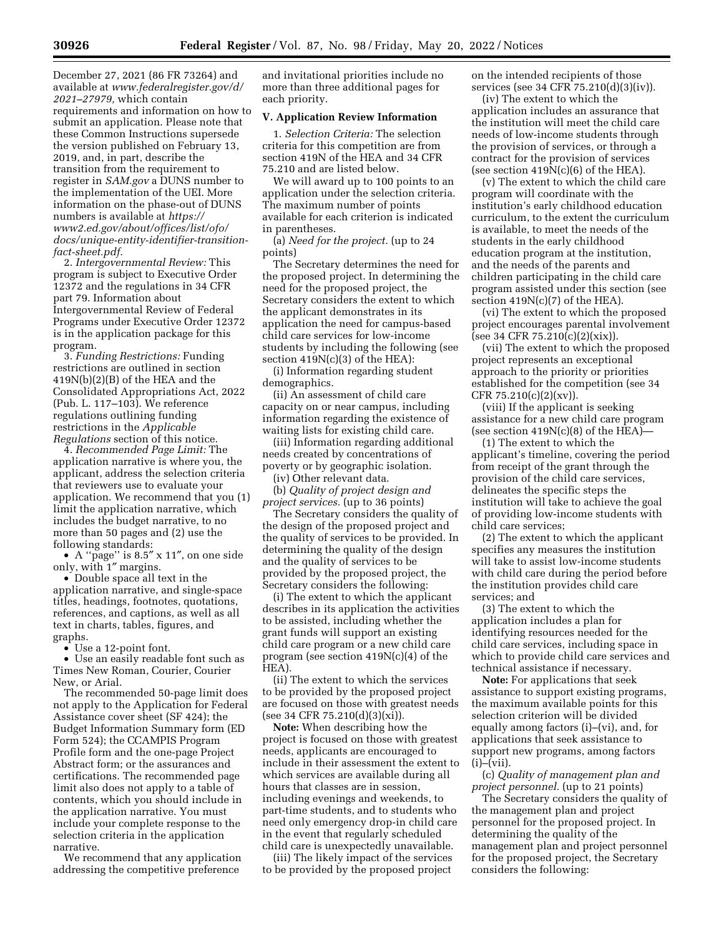December 27, 2021 (86 FR 73264) and available at *[www.federalregister.gov/d/](http://www.federalregister.gov/d/2021-27979)  [2021–27979,](http://www.federalregister.gov/d/2021-27979)* which contain requirements and information on how to submit an application. Please note that these Common Instructions supersede the version published on February 13, 2019, and, in part, describe the transition from the requirement to register in *SAM.gov* a DUNS number to the implementation of the UEI. More information on the phase-out of DUNS numbers is available at *[https://](https://www2.ed.gov/about/offices/list/ofo/docs/unique-entity-identifier-transition-fact-sheet.pdf)*

*[www2.ed.gov/about/offices/list/ofo/](https://www2.ed.gov/about/offices/list/ofo/docs/unique-entity-identifier-transition-fact-sheet.pdf) [docs/unique-entity-identifier-transition](https://www2.ed.gov/about/offices/list/ofo/docs/unique-entity-identifier-transition-fact-sheet.pdf)[fact-sheet.pdf.](https://www2.ed.gov/about/offices/list/ofo/docs/unique-entity-identifier-transition-fact-sheet.pdf)* 

2. *Intergovernmental Review:* This program is subject to Executive Order 12372 and the regulations in 34 CFR part 79. Information about Intergovernmental Review of Federal Programs under Executive Order 12372 is in the application package for this program.

3. *Funding Restrictions:* Funding restrictions are outlined in section 419N(b)(2)(B) of the HEA and the Consolidated Appropriations Act, 2022 (Pub. L. 117–103). We reference regulations outlining funding restrictions in the *Applicable Regulations* section of this notice.

4. *Recommended Page Limit:* The application narrative is where you, the applicant, address the selection criteria that reviewers use to evaluate your application. We recommend that you (1) limit the application narrative, which includes the budget narrative, to no more than 50 pages and (2) use the following standards:

• A ''page'' is 8.5″ x 11″, on one side only, with 1″ margins.

• Double space all text in the application narrative, and single-space titles, headings, footnotes, quotations, references, and captions, as well as all text in charts, tables, figures, and graphs.

• Use a 12-point font.

• Use an easily readable font such as Times New Roman, Courier, Courier New, or Arial.

The recommended 50-page limit does not apply to the Application for Federal Assistance cover sheet (SF 424); the Budget Information Summary form (ED Form 524); the CCAMPIS Program Profile form and the one-page Project Abstract form; or the assurances and certifications. The recommended page limit also does not apply to a table of contents, which you should include in the application narrative. You must include your complete response to the selection criteria in the application narrative.

We recommend that any application addressing the competitive preference and invitational priorities include no more than three additional pages for each priority.

#### **V. Application Review Information**

1. *Selection Criteria:* The selection criteria for this competition are from section 419N of the HEA and 34 CFR 75.210 and are listed below.

We will award up to 100 points to an application under the selection criteria. The maximum number of points available for each criterion is indicated in parentheses.

(a) *Need for the project.* (up to 24 points)

The Secretary determines the need for the proposed project. In determining the need for the proposed project, the Secretary considers the extent to which the applicant demonstrates in its application the need for campus-based child care services for low-income students by including the following (see section  $419N(c)(3)$  of the HEA):

(i) Information regarding student demographics.

(ii) An assessment of child care capacity on or near campus, including information regarding the existence of waiting lists for existing child care.

(iii) Information regarding additional needs created by concentrations of poverty or by geographic isolation.

(iv) Other relevant data. (b) *Quality of project design and project services.* (up to 36 points)

The Secretary considers the quality of the design of the proposed project and the quality of services to be provided. In determining the quality of the design and the quality of services to be provided by the proposed project, the Secretary considers the following:

(i) The extent to which the applicant describes in its application the activities to be assisted, including whether the grant funds will support an existing child care program or a new child care program (see section 419N(c)(4) of the HEA).

(ii) The extent to which the services to be provided by the proposed project are focused on those with greatest needs (see 34 CFR 75.210(d)(3)(xi)).

**Note:** When describing how the project is focused on those with greatest needs, applicants are encouraged to include in their assessment the extent to which services are available during all hours that classes are in session, including evenings and weekends, to part-time students, and to students who need only emergency drop-in child care in the event that regularly scheduled child care is unexpectedly unavailable.

(iii) The likely impact of the services to be provided by the proposed project

on the intended recipients of those services (see 34 CFR 75.210(d)(3)(iv)).

(iv) The extent to which the application includes an assurance that the institution will meet the child care needs of low-income students through the provision of services, or through a contract for the provision of services (see section  $419N(c)(6)$  of the HEA).

(v) The extent to which the child care program will coordinate with the institution's early childhood education curriculum, to the extent the curriculum is available, to meet the needs of the students in the early childhood education program at the institution, and the needs of the parents and children participating in the child care program assisted under this section (see section 419N(c)(7) of the HEA).

(vi) The extent to which the proposed project encourages parental involvement (see 34 CFR 75.210(c)(2)(xix)).

(vii) The extent to which the proposed project represents an exceptional approach to the priority or priorities established for the competition (see 34 CFR 75.210(c)(2)(xv)).

(viii) If the applicant is seeking assistance for a new child care program (see section  $419N(c)(8)$  of the HEA)—

(1) The extent to which the applicant's timeline, covering the period from receipt of the grant through the provision of the child care services, delineates the specific steps the institution will take to achieve the goal of providing low-income students with child care services;

(2) The extent to which the applicant specifies any measures the institution will take to assist low-income students with child care during the period before the institution provides child care services; and

(3) The extent to which the application includes a plan for identifying resources needed for the child care services, including space in which to provide child care services and technical assistance if necessary.

**Note:** For applications that seek assistance to support existing programs, the maximum available points for this selection criterion will be divided equally among factors (i)–(vi), and, for applications that seek assistance to support new programs, among factors  $(i)$ – $(vii)$ .

(c) *Quality of management plan and project personnel.* (up to 21 points)

The Secretary considers the quality of the management plan and project personnel for the proposed project. In determining the quality of the management plan and project personnel for the proposed project, the Secretary considers the following: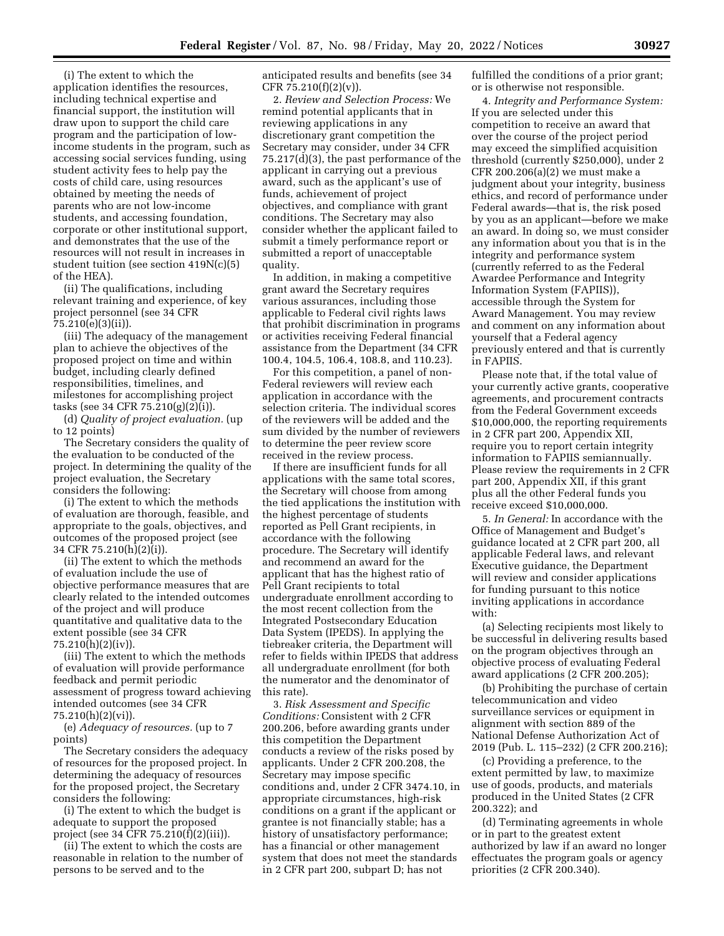(i) The extent to which the application identifies the resources, including technical expertise and financial support, the institution will draw upon to support the child care program and the participation of lowincome students in the program, such as accessing social services funding, using student activity fees to help pay the costs of child care, using resources obtained by meeting the needs of parents who are not low-income students, and accessing foundation, corporate or other institutional support, and demonstrates that the use of the resources will not result in increases in student tuition (see section 419N(c)(5) of the HEA).

(ii) The qualifications, including relevant training and experience, of key project personnel (see 34 CFR 75.210(e)(3)(ii)).

(iii) The adequacy of the management plan to achieve the objectives of the proposed project on time and within budget, including clearly defined responsibilities, timelines, and milestones for accomplishing project tasks (see 34 CFR 75.210(g)(2)(i)).

(d) *Quality of project evaluation.* (up to 12 points)

The Secretary considers the quality of the evaluation to be conducted of the project. In determining the quality of the project evaluation, the Secretary considers the following:

(i) The extent to which the methods of evaluation are thorough, feasible, and appropriate to the goals, objectives, and outcomes of the proposed project (see 34 CFR 75.210(h)(2)(i)).

(ii) The extent to which the methods of evaluation include the use of objective performance measures that are clearly related to the intended outcomes of the project and will produce quantitative and qualitative data to the extent possible (see 34 CFR 75.210(h)(2)(iv)).

(iii) The extent to which the methods of evaluation will provide performance feedback and permit periodic assessment of progress toward achieving intended outcomes (see 34 CFR 75.210(h)(2)(vi)).

(e) *Adequacy of resources.* (up to 7 points)

The Secretary considers the adequacy of resources for the proposed project. In determining the adequacy of resources for the proposed project, the Secretary considers the following:

(i) The extent to which the budget is adequate to support the proposed project (see 34 CFR 75.210(f)(2)(iii)).

(ii) The extent to which the costs are reasonable in relation to the number of persons to be served and to the

anticipated results and benefits (see 34 CFR 75.210(f)(2)(v)).

2. *Review and Selection Process:* We remind potential applicants that in reviewing applications in any discretionary grant competition the Secretary may consider, under 34 CFR 75.217(d)(3), the past performance of the applicant in carrying out a previous award, such as the applicant's use of funds, achievement of project objectives, and compliance with grant conditions. The Secretary may also consider whether the applicant failed to submit a timely performance report or submitted a report of unacceptable quality.

In addition, in making a competitive grant award the Secretary requires various assurances, including those applicable to Federal civil rights laws that prohibit discrimination in programs or activities receiving Federal financial assistance from the Department (34 CFR 100.4, 104.5, 106.4, 108.8, and 110.23).

For this competition, a panel of non-Federal reviewers will review each application in accordance with the selection criteria. The individual scores of the reviewers will be added and the sum divided by the number of reviewers to determine the peer review score received in the review process.

If there are insufficient funds for all applications with the same total scores, the Secretary will choose from among the tied applications the institution with the highest percentage of students reported as Pell Grant recipients, in accordance with the following procedure. The Secretary will identify and recommend an award for the applicant that has the highest ratio of Pell Grant recipients to total undergraduate enrollment according to the most recent collection from the Integrated Postsecondary Education Data System (IPEDS). In applying the tiebreaker criteria, the Department will refer to fields within IPEDS that address all undergraduate enrollment (for both the numerator and the denominator of this rate).

3. *Risk Assessment and Specific Conditions:* Consistent with 2 CFR 200.206, before awarding grants under this competition the Department conducts a review of the risks posed by applicants. Under 2 CFR 200.208, the Secretary may impose specific conditions and, under 2 CFR 3474.10, in appropriate circumstances, high-risk conditions on a grant if the applicant or grantee is not financially stable; has a history of unsatisfactory performance; has a financial or other management system that does not meet the standards in 2 CFR part 200, subpart D; has not

fulfilled the conditions of a prior grant; or is otherwise not responsible.

4. *Integrity and Performance System:*  If you are selected under this competition to receive an award that over the course of the project period may exceed the simplified acquisition threshold (currently \$250,000), under 2 CFR 200.206(a)(2) we must make a judgment about your integrity, business ethics, and record of performance under Federal awards—that is, the risk posed by you as an applicant—before we make an award. In doing so, we must consider any information about you that is in the integrity and performance system (currently referred to as the Federal Awardee Performance and Integrity Information System (FAPIIS)), accessible through the System for Award Management. You may review and comment on any information about yourself that a Federal agency previously entered and that is currently in FAPIIS.

Please note that, if the total value of your currently active grants, cooperative agreements, and procurement contracts from the Federal Government exceeds \$10,000,000, the reporting requirements in 2 CFR part 200, Appendix XII, require you to report certain integrity information to FAPIIS semiannually. Please review the requirements in 2 CFR part 200, Appendix XII, if this grant plus all the other Federal funds you receive exceed \$10,000,000.

5. *In General:* In accordance with the Office of Management and Budget's guidance located at 2 CFR part 200, all applicable Federal laws, and relevant Executive guidance, the Department will review and consider applications for funding pursuant to this notice inviting applications in accordance with:

(a) Selecting recipients most likely to be successful in delivering results based on the program objectives through an objective process of evaluating Federal award applications (2 CFR 200.205);

(b) Prohibiting the purchase of certain telecommunication and video surveillance services or equipment in alignment with section 889 of the National Defense Authorization Act of 2019 (Pub. L. 115–232) (2 CFR 200.216);

(c) Providing a preference, to the extent permitted by law, to maximize use of goods, products, and materials produced in the United States (2 CFR 200.322); and

(d) Terminating agreements in whole or in part to the greatest extent authorized by law if an award no longer effectuates the program goals or agency priorities (2 CFR 200.340).